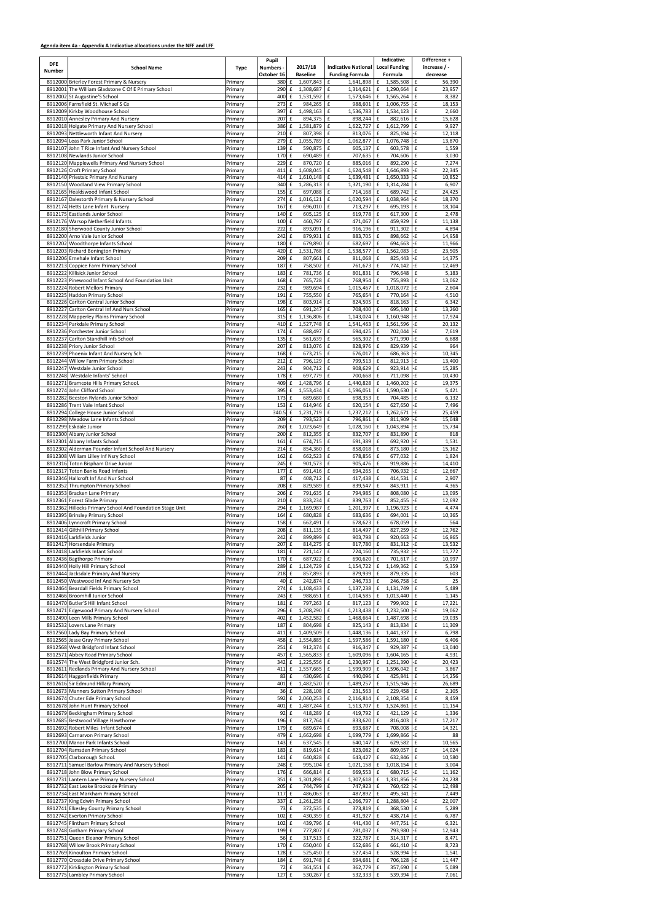## **Agenda item 4a - Appendix A Indicative allocations under the NFF and LFF**

|                             |                                                                                                  |                    | Pupil          |                                          |                        |                                                         | Indicative                                                       |                          | Difference +     |
|-----------------------------|--------------------------------------------------------------------------------------------------|--------------------|----------------|------------------------------------------|------------------------|---------------------------------------------------------|------------------------------------------------------------------|--------------------------|------------------|
| <b>DFE</b><br><b>Number</b> | <b>School Name</b>                                                                               | Type               | Numbers -      |                                          | 2017/18                | <b>Indicative National</b>                              | <b>Local Funding</b>                                             |                          | increase / -     |
|                             |                                                                                                  |                    | October 16     |                                          | <b>Baseline</b>        | <b>Funding Formula</b>                                  | Formula                                                          |                          | decrease         |
|                             | 8912000 Brierley Forest Primary & Nursery<br>8912001 The William Gladstone C Of E Primary School | Primary<br>Primary | 380<br>290     | £<br>f                                   | 1,607,843<br>1,308,687 | £<br>1,641,898<br>$\pmb{\mathsf{f}}$<br>1,314,621       | 1,585,508<br>£<br>£<br>1,290,664                                 | £<br>£                   | 56,390<br>23,957 |
|                             | 8912002 St Augustine'S School                                                                    | Primary            | 400            | £                                        | 1,531,592              | £<br>1,573,646                                          | £<br>1,565,264                                                   | £                        | 8,382            |
|                             | 8912006 Farnsfield St. Michael'S Ce                                                              | Primary            | 273            | $\mathbf f$                              | 984,265                | $\pmb{\mathsf{f}}$<br>988,601                           | £<br>1,006,755                                                   | -£                       | 18,153           |
|                             | 8912009 Kirkby Woodhouse School                                                                  | Primary            | 397            | £                                        | 1,498,163              | £<br>1,536,783                                          | 1,534,123<br>£                                                   | £                        | 2,660            |
|                             | 8912010 Annesley Primary And Nursery                                                             | Primary            | 207<br>386     | $\pmb{\mathsf{f}}$<br>$\pmb{\mathsf{f}}$ | 894,375<br>1,581,879   | 898,244<br>£<br>$\pmb{\mathsf{f}}$<br>1,622,727         | 882,616<br>£<br>$\pmb{\mathsf{f}}$<br>1,612,799                  | £<br>$\pmb{\mathsf{f}}$  | 15,628<br>9,927  |
|                             | 8912018 Holgate Primary And Nursery School<br>8912093 Nettleworth Infant And Nurserv             | Primary<br>Primary | 210            | $\mathbf f$                              | 807,398                | £<br>813,076                                            | $\pmb{\mathsf{f}}$<br>825,194                                    | -£                       | 12,118           |
|                             | 8912094 Leas Park Junior School                                                                  | Primary            | 279            | $\pmb{\mathsf{f}}$                       | 1,055,789              | £<br>1,062,877                                          | $\pmb{\mathsf{f}}$<br>1,076,748                                  | -£                       | 13,870           |
|                             | 8912107 John T Rice Infant And Nursery School                                                    | Primary            | 139            | $\pmb{\mathsf{f}}$                       | 590,875                | £<br>605,137                                            | $\pmb{\mathsf{f}}$<br>603,578                                    | $\pmb{\mathsf{f}}$       | 1,559            |
|                             | 8912108 Newlands Junior School                                                                   | Primary            | 170 £          |                                          | 690,489                | £<br>707,635                                            | $\pmb{\mathsf{f}}$<br>704,606                                    | $\pmb{\mathsf{f}}$       | 3,030            |
|                             | 8912120 Mapplewells Primary And Nursery School                                                   | Primary            | 229            | $\pmb{\mathsf{f}}$                       | 870,720                | $\pmb{\mathsf{f}}$<br>885,016                           | $\pmb{\mathsf{f}}$<br>892,290                                    | -£                       | 7,274            |
|                             | 8912126 Croft Primary School                                                                     | Primary            | 411            | $\pmb{\mathsf{f}}$                       | 1,608,045              | £<br>1,624,548                                          | $\pmb{\mathsf{f}}$<br>1,646,893                                  | -£                       | 22,345           |
|                             | 8912140 Priestsic Primary And Nursery<br>8912150 Woodland View Primary School                    | Primary<br>Primary | 414<br>340     | £<br>$\pmb{\mathsf{f}}$                  | 1,610,148<br>1,286,313 | $\pmb{\mathsf{f}}$<br>1,639,481<br>£<br>1,321,190       | £<br>1,650,333<br>$\pmb{\mathsf{f}}$<br>1,314,284                | -£<br>$\pmb{\mathsf{f}}$ | 10,852<br>6,907  |
|                             | 8912165 Healdswood Infant School                                                                 | Primary            | 155            | $\mathbf f$                              | 697,088                | £<br>714,168                                            | 689,742<br>f                                                     | $\pmb{\mathsf{f}}$       | 24,425           |
|                             | 8912167 Dalestorth Primary & Nursery School                                                      | Primary            | 274            | $\pmb{\mathsf{f}}$                       | 1,016,121              | £<br>1,020,594                                          | £<br>1,038,964                                                   | -£                       | 18,370           |
|                             | 8912174 Hetts Lane Infant Nursery                                                                | Primary            | 167            | $\mathbf f$                              | 696,010                | 713,297<br>£                                            | $\pmb{\mathsf{f}}$<br>695,193                                    | £                        | 18,104           |
|                             | 8912175 Eastlands Junior School                                                                  | Primary            | 140            | $\pmb{\mathsf{f}}$                       | 605,125                | $\pmb{\mathsf{f}}$<br>619,778                           | 617,300<br>$\pmb{\mathsf{f}}$                                    | $\pmb{\mathsf{f}}$       | 2,478            |
|                             | 8912176 Warsop Netherfield Infants                                                               | Primary            | 100            | $\mathbf f$                              | 460,797                | £<br>471,067                                            | $\pmb{\mathsf{f}}$<br>459,929                                    | £                        | 11,138           |
|                             | 8912180 Sherwood County Junior School<br>8912200 Arno Vale Junior School                         | Primary            | 222            | £                                        | 893,091                | $\pmb{\mathsf{f}}$<br>916,196                           | $\pmb{\mathsf{f}}$<br>911,302                                    | £                        | 4,894            |
|                             | 8912202 Woodthorpe Infants School                                                                | Primary<br>Primary | 242<br>180     | $\pmb{\mathsf{f}}$<br>$\mathbf f$        | 879,931<br>679,890     | £<br>883,705<br>£<br>682,697                            | £<br>898,662<br>$\mathbf f$<br>694,663                           | -£<br>-£                 | 14,958<br>11,966 |
|                             | 8912203 Richard Bonington Primary                                                                | Primary            | 420            | £                                        | 1,531,768              | £<br>1,538,577                                          | $\mathbf f$<br>1,562,083                                         | -£                       | 23,505           |
|                             | 8912206 Ernehale Infant School                                                                   | Primary            | 209 £          |                                          | 807,661                | $\pmb{\mathsf{f}}$<br>811,068                           | 825,443<br>£                                                     | -£                       | 14,375           |
|                             | 8912213 Coppice Farm Primary School                                                              | Primary            | 187            | $\pmb{\mathsf{f}}$                       | 758,502                | $\pmb{\mathsf{f}}$<br>761,673                           | $\pmb{\mathsf{f}}$<br>774,142                                    | -£                       | 12,469           |
|                             | 8912222 Killisick Junior School                                                                  | Primary            | 183 £          |                                          | 781,736                | $\pmb{\mathsf{f}}$<br>801,831                           | $\pmb{\mathsf{f}}$<br>796,648                                    | $\pmb{\mathsf{f}}$       | 5,183            |
|                             | 8912223 Pinewood Infant School And Foundation Unit                                               | Primary            | 168            | $\mathbf f$                              | 765,728                | $\pmb{\mathsf{f}}$<br>768,954                           | £<br>755,893                                                     | $\mathbf f$              | 13,062           |
|                             | 8912224 Robert Mellors Primary                                                                   | Primary            | 232            | $\mathbf f$                              | 989,694                | $\mathbf f$<br>1,015,467<br>£                           | $\pmb{\mathsf{f}}$<br>1,018,072                                  | -£                       | 2,604            |
|                             | 8912225 Haddon Primary School<br>8912226 Carlton Central Junior School                           | Primary<br>Primary | 191 £<br>198   | $\pmb{\mathsf{f}}$                       | 755,550<br>803,914     | 765,654<br>824,505<br>£                                 | 770,164<br>£<br>$\pmb{\mathsf{f}}$<br>818,163                    | -£<br>$\pmb{\mathsf{f}}$ | 4,510<br>6,342   |
|                             | 8912227 Carlton Central Inf And Nurs School                                                      | Primary            | 165 £          |                                          | 691,247                | £<br>708,400                                            | $\pmb{\mathsf{f}}$<br>695,140                                    | $\mathbf f$              | 13,260           |
|                             | 8912228 Mapperley Plains Primary School                                                          | Primary            | 315            | $\mathbf f$                              | 1,136,806              | $\pmb{\mathsf{f}}$<br>1,143,024                         | $\pmb{\mathsf{f}}$<br>1,160,948                                  | -£                       | 17,924           |
|                             | 8912234 Parkdale Primary School                                                                  | Primary            | 410            | £                                        | 1,527,748              | £<br>1,541,463                                          | 1,561,596<br>£                                                   | -£                       | 20,132           |
|                             | 8912236 Porchester Junior School                                                                 | Primary            | 174            | $\mathbf f$                              | 688,497                | £<br>694,425                                            | $\pmb{\mathsf{f}}$<br>702,044                                    | -£                       | 7,619            |
|                             | 8912237 Carlton Standhill Infs School                                                            | Primary            | 135            | $\pmb{\mathsf{f}}$                       | 561,639                | £<br>565,302                                            | $\pmb{\mathsf{f}}$<br>571,990                                    | -£                       | 6,688            |
|                             | 8912238 Priory Junior School<br>8912239 Phoenix Infant And Nursery Sch                           | Primary<br>Primary | 207<br>168     | $\pmb{\mathsf{f}}$<br>$\pmb{\mathsf{f}}$ | 813,076<br>673,215     | $\pmb{\mathsf{f}}$<br>828,976<br>$\mathbf f$<br>676,017 | $\pmb{\mathsf{f}}$<br>829,939<br>$\pmb{\mathsf{f}}$<br>686,363   | -£<br>-£                 | 964<br>10,345    |
|                             | 8912244 Willow Farm Primary School                                                               | Primary            | 212            | $\pmb{\mathsf{f}}$                       | 796,129                | £<br>799,513                                            | $\pmb{\mathsf{f}}$<br>812,913                                    | -£                       | 13,400           |
|                             | 8912247 Westdale Junior School                                                                   | Primary            | 243            | $\mathbf f$                              | 904.712                | £<br>908,629                                            | $\pmb{\mathsf{f}}$<br>923,914                                    | -£                       | 15,285           |
|                             | 8912248 Westdale Infants' School                                                                 | Primary            | 178            | £                                        | 697.779                | £<br>700,668                                            | £<br>711,098                                                     | -£                       | 10,430           |
|                             | 8912271 Bramcote Hills Primary School.                                                           | Primary            | 409            | $\mathbf f$                              | 1,428,796              | £<br>1,440,828                                          | £<br>1,460,202                                                   | -£                       | 19,375           |
|                             | 8912274 John Clifford School                                                                     | Primary            | 395            | £                                        | 1,553,434              | £<br>1,596,051                                          | $\pmb{\mathsf{f}}$<br>1,590,630                                  | £                        | 5,421            |
|                             | 8912282 Beeston Rylands Junior School<br>8912286 Trent Vale Infant School                        | Primary<br>Primary | 173 £<br>153 £ |                                          | 689.680<br>614,946     | £<br>698,353<br>£                                       | $\mathbf f$<br>704,485<br>627,650<br>£                           | $-F$<br>$\mathbf{-f}$    | 6,132            |
|                             | 8912294 College House Junior School                                                              | Primary            | 340.5          | $\pmb{\mathsf{f}}$                       | 1,231,719              | 620,154<br>£<br>1,237,212                               | 1,262,671<br>£                                                   | -£                       | 7,496<br>25,459  |
|                             | 8912298 Meadow Lane Infants School                                                               | Primary            | 209            | f                                        | 793,523                | $\pmb{\mathsf{f}}$<br>796,861                           | 811,909<br>£                                                     | -£                       | 15,048           |
|                             | 8912299 Eskdale Junior                                                                           | Primary            | 260 £          |                                          | 1,023,649              | £<br>1,028,160                                          | $\mathbf f$<br>1,043,894                                         | -£                       | 15,734           |
|                             | 8912300 Albany Junior School                                                                     | Primary            | 200 £          |                                          | 812,355                | 832,707<br>£                                            | $\pmb{\mathsf{f}}$<br>831,890                                    | £                        | 818              |
|                             | 8912301 Albany Infants School                                                                    | Primary            | 161 £          |                                          | 674,715                | £<br>691,389                                            | $\mathbf f$<br>692,920                                           | -£                       | 1,531            |
|                             | 8912302 Alderman Pounder Infant School And Nursery                                               | Primary            | 214            | f                                        | 854,360                | £<br>858,018                                            | $\pmb{\mathsf{f}}$<br>873,180                                    | -£                       | 15,162           |
|                             | 8912308 William Lilley Inf Nsry School<br>8912316 Toton Bispham Drive Junior                     | Primary<br>Primary | 162<br>245     | $\pmb{\mathsf{f}}$<br>$\pmb{\mathsf{f}}$ | 662,523<br>901,573     | $\pmb{\mathsf{f}}$<br>678,856<br>£<br>905,476           | $\pmb{\mathsf{f}}$<br>677,032<br>£<br>919,886                    | $\mathbf f$<br>-£        | 1,824<br>14,410  |
|                             | 8912317 Toton Banks Road Infants                                                                 | Primary            | 177 £          |                                          | 691,416                | $\mathbf f$<br>694,265                                  | $\pmb{\mathsf{f}}$<br>706,932                                    | -£                       | 12,667           |
|                             | 8912346 Hallcroft Inf And Nur School                                                             | Primary            | 87             | $\pmb{\mathsf{f}}$                       | 408,712                | £<br>417,438                                            | $\pmb{\mathsf{f}}$<br>414,531                                    | $\mathbf f$              | 2,907            |
|                             | 8912352 Thrumpton Primary School                                                                 | Primary            | 208 £          |                                          | 829,589                | 839,547<br>£                                            | 843,911<br>£                                                     | -£                       | 4,365            |
|                             | 8912353 Bracken Lane Primary                                                                     | Primary            | 206 £          |                                          | 791,635                | $\mathbf f$<br>794,985                                  | $\pmb{\mathsf{f}}$<br>808,080                                    | -£                       | 13,095           |
|                             | 8912361 Forest Glade Primary                                                                     | Primary            | 210 £          |                                          | 833,234                | 839,763<br>£                                            | $\pmb{\mathsf{f}}$<br>852,455                                    | -£                       | 12,692           |
|                             | 8912362 Hillocks Primary School And Foundation Stage Unit<br>8912395 Brinsley Primary School     | Primary<br>Primary | 294<br>164     | $\pmb{\mathsf{f}}$<br>£                  | 1,169,987<br>680,828   | £<br>1,201,397<br>£<br>683,636                          | $\pmb{\mathsf{f}}$<br>1,196,923<br>$\pmb{\mathsf{f}}$<br>694,001 | $\mathbf f$<br>-£        | 4,474<br>10,365  |
|                             | 8912406 Lynncroft Primary School                                                                 | Primary            | 158 £          |                                          | 662,491                | $\mathbf f$<br>678,623                                  | $\pmb{\mathsf{f}}$<br>678,059                                    | $\pmb{\mathsf{f}}$       | 564              |
|                             | 8912414 Gilthill Primary School                                                                  | Primary            | 208            | $\pmb{\mathsf{f}}$                       | 811,135                | 814,497<br>£                                            | $\pmb{\mathsf{f}}$<br>827,259                                    | -£                       | 12,762           |
|                             | 8912416 Larkfields Junior                                                                        | Primary            | 242 £          |                                          | 899,899                | 903,798<br>£                                            | $\pmb{\mathsf{f}}$<br>920,663                                    | -£                       | 16,865           |
|                             | 8912417 Horsendale Primary                                                                       | Primary            | 207            | $\mathbf f$                              | 814,275                | £<br>817,780                                            | $\pmb{\mathsf{f}}$<br>831,312                                    | $\mathbf{-f}$            | 13,532           |
|                             | 8912418 Larkfields Infant School                                                                 | Primary            | 181 f          |                                          | 721,147                | $\pmb{\mathsf{f}}$<br>724,160                           | $\pmb{\mathsf{f}}$<br>735,932                                    | -£                       | 11,772           |
|                             | 8912436 Bagthorpe Primary<br>8912440 Holly Hill Primary School                                   | Primary            | 170 £<br>289   | f                                        | 687,922<br>1,124,729   | £<br>690,620<br>£<br>1,154,722                          | $\pmb{\mathsf{f}}$<br>701,617<br>$\mathbf f$<br>1,149,362        | -£<br>$\pmb{\mathsf{f}}$ | 10,997           |
|                             | 8912444 Jacksdale Primary And Nursery                                                            | Primary<br>Primary | 218 £          |                                          | 857,893                | 879,939<br>£                                            | 879,335<br>£                                                     | £                        | 5,359<br>603     |
|                             | 8912450 Westwood Inf And Nursery Sch                                                             | Primary            | 40             | $\pmb{\mathsf{f}}$                       | 242,874                | £<br>246,733                                            | 246,758<br>$\pmb{\mathsf{f}}$                                    | -£                       | 25               |
|                             | 8912464 Beardall Fields Primary School                                                           | Primary            | 274            | £                                        | 1,108,433              | £<br>1,137,238                                          | 1,131,749<br>£                                                   | £                        | 5,489            |
|                             | 8912466 Broomhill Junior School                                                                  | Primary            | 243            | f                                        | 988,651                | $\pmb{\mathsf{f}}$<br>1,014,585                         | 1,013,440<br>£                                                   | $\mathbf f$              | 1,145            |
|                             | 8912470 Butler'S Hill Infant School                                                              | Primary            | 181            | f                                        | 797,263                | £<br>817,123                                            | 799,902<br>£                                                     | £                        | 17,221           |
|                             | 8912471 Edgewood Primary And Nursery School                                                      | Primary            | 296            | £                                        | 1,208,290              | £<br>1,213,438                                          | $\mathbf f$<br>1,232,500                                         | -£                       | 19,062           |
|                             | 8912490 Leen Mills Primary School<br>8912532 Lovers Lane Primary                                 | Primary<br>Primary | 402<br>187     | £<br>$\pmb{\mathsf{f}}$                  | 1,452,582<br>804,698   | £<br>1,468,664<br>825,143<br>£                          | 1,487,698<br>£<br>813,834<br>£                                   | -£<br>£                  | 19,035<br>11,309 |
|                             | 8912560 Lady Bay Primary School                                                                  | Primary            | 411            | £                                        | 1,409,509              | $\pmb{\mathsf{f}}$<br>1,448,136                         | $\pmb{\mathsf{f}}$<br>1,441,337                                  | £                        | 6,798            |
|                             | 8912565 Jesse Gray Primary School                                                                | Primary            | 458            | £                                        | 1,554,885              | £<br>1,597,586                                          | 1,591,180<br>£                                                   | $\pmb{\mathsf{f}}$       | 6,406            |
|                             | 8912568 West Bridgford Infant School                                                             | Primary            | 251            | f                                        | 912,374                | $\pmb{\mathsf{f}}$<br>916,347                           | 929,387<br>£                                                     | -£                       | 13,040           |
|                             | 8912571 Abbey Road Primary School                                                                | Primary            | 457            | $\mathbf f$                              | 1,565,833              | $\mathbf f$<br>1,609,096                                | 1,604,165<br>£                                                   | $\pmb{\mathsf{f}}$       | 4,931            |
|                             | 8912574 The West Bridgford Junior Sch.<br>8912611 Redlands Primary And Nursery School            | Primary            | 342            | £                                        | 1,225,556<br>1,557,665 | 1,230,967<br>£<br>1,599,909                             | 1,251,390<br>£<br>1,596,042                                      | -£<br>$\mathbf f$        | 20,423           |
|                             | 8912614 Haggonfields Primary                                                                     | Primary<br>Primary | 411<br>83 £    | £                                        | 430,696                | £<br>440,096<br>£                                       | £<br>$\pmb{\mathsf{f}}$<br>425,841                               | £                        | 3,867<br>14,256  |
|                             | 8912616 Sir Edmund Hillary Primary                                                               | Primary            | 401            | $\pmb{\mathsf{f}}$                       | 1,482,520              | $\pmb{\mathsf{f}}$<br>1,489,257                         | $\pmb{\mathsf{f}}$<br>1,515,946                                  | -£                       | 26,689           |
|                             | 8912673 Manners Sutton Primary School                                                            | Primary            | 36             | f                                        | 228,108                | £<br>231,563                                            | 229,458<br>£                                                     | £                        | 2,105            |
|                             | 8912674 Chuter Ede Primary School                                                                | Primary            | 592            | $\mathbf f$                              | 2,060,253              | £<br>2,116,814                                          | $\pmb{\mathsf{f}}$<br>2,108,354                                  | $\mathbf f$              | 8,459            |
|                             | 8912678 John Hunt Primary School                                                                 | Primary            | 401            | $\pmb{\mathsf{f}}$                       | 1,487,244              | £<br>1,513,707                                          | $\pmb{\mathsf{f}}$<br>1,524,861                                  | -£                       | 11,154           |
|                             | 8912679 Beckingham Primary School<br>8912685 Bestwood Village Hawthorne                          | Primary<br>Primary | 92 £<br>196    | $\pmb{\mathsf{f}}$                       | 418,289<br>817,764     | 419,792<br>£<br>$\mathbf f$                             | 421,129<br>£<br>$\pmb{\mathsf{f}}$<br>816,403                    | -£<br>$\mathbf f$        | 1,336<br>17,217  |
|                             | 8912692 Robert Miles Infant School                                                               | Primary            | 179 £          |                                          | 689,674                | 833,620<br>693,687<br>£                                 | $\pmb{\mathsf{f}}$<br>708,008                                    | -£                       | 14,321           |
|                             | 8912693 Carnarvon Primary School                                                                 | Primary            | 479            | £                                        | 1,662,698              | $\pmb{\mathsf{f}}$<br>1,699,779                         | $\pmb{\mathsf{f}}$<br>1,699,866                                  | -£                       | 88               |
|                             | 8912700 Manor Park Infants School                                                                | Primary            | 143            | £                                        | 637,545                | £<br>640,147                                            | £<br>629,582                                                     | £                        | 10,565           |
|                             | 8912704 Ramsden Primary School                                                                   | Primary            | 183 £          |                                          | 819,614 £              | $823,082$ £                                             | 809,057 £                                                        |                          | 14,024           |
|                             | 8912705 Clarborough School.                                                                      | Primary            | 141 f          |                                          | 640,828 £              | 643,427                                                 | £<br>632,846 £                                                   |                          | 10,580           |
|                             | 8912711 Samuel Barlow Primary And Nursery School                                                 | Primary            | 248 £          |                                          | 995,104                | £<br>$1,021,158$ $E$                                    | 1,018,154                                                        | Ι£                       | 3,004            |
|                             | 8912718 John Blow Primary School<br>8912731 Lantern Lane Primary Nursery School                  | Primary<br>Primary | 176 £<br>351 £ |                                          | 666,814<br>1,301,898   | £<br>669,553<br>£<br>1,307,618                          | £<br>680,715 -f<br>£<br>1,331,856 -f                             |                          | 11,162<br>24,238 |
|                             | 8912732 East Leake Brookside Primary                                                             | Primary            | 205 £          |                                          | 744,799                | £<br>747,923                                            | £<br>760,422 -f                                                  |                          | 12,498           |
|                             | 8912734 East Markham Primary School                                                              | Primary            | 117 £          |                                          | 486,063                | £<br>487,892                                            | 495,341<br>£                                                     | -£                       | 7,449            |
|                             | 8912737 King Edwin Primary School                                                                | Primary            | 337 £          |                                          | 1,261,258              | £<br>1,266,797                                          | 1,288,804<br>£                                                   | l-£                      | 22,007           |
|                             | 8912741 Elkesley County Primary School                                                           | Primary            | 73 £           |                                          | 372,535 £              | 373,819                                                 | 368,530 £<br>£                                                   |                          | 5,289            |
|                             | 8912742 Everton Primary School                                                                   | Primary            | 102 £          |                                          | 430,359                | 431,927<br>£                                            | £<br>438,714 -f                                                  |                          | 6,787            |
|                             | 8912745 Flintham Primary School<br>8912748 Gotham Primary School                                 | Primary<br>Primary | 102 £<br>199 £ |                                          | 439,796 £<br>777,807   | 441,430<br>£<br>781,037                                 | £<br>447,751<br>793,980 -£<br>f                                  | $-F$                     | 6,321<br>12,943  |
|                             | 8912751 Queen Eleanor Primary School                                                             | Primary            | 56 £           |                                          | 317,513                | £<br>322,787                                            | £<br>314,317                                                     | f                        | 8,471            |
|                             | 8912768 Willow Brook Primary School                                                              | Primary            | 170 £          |                                          | 650,040                | £<br>652,686                                            | £<br>$661,410$ -£                                                |                          | 8,723            |
|                             | 8912769 Kinoulton Primary School                                                                 | Primary            | 128 £          |                                          | 525,450                | 527,454<br>£                                            | 528,994 - £<br>£                                                 |                          | 1,541            |
|                             | 8912770 Crossdale Drive Primary School                                                           | Primary            | 184 £          |                                          | 691,748 £              | 694,681                                                 | 706,128 - £<br>£                                                 |                          | 11,447           |
|                             | 8912772 Kirklington Primary School                                                               | Primary            | 72 £           |                                          | 361,551 £              | 362,779                                                 | $\mathbf f$<br>357,690                                           | E                        | 5,089            |
|                             | 8912775 Lambley Primary School                                                                   | Primary            | 127 £          |                                          | 530,267 £              | 532,333 £                                               | 539,394 -f                                                       |                          | 7,061            |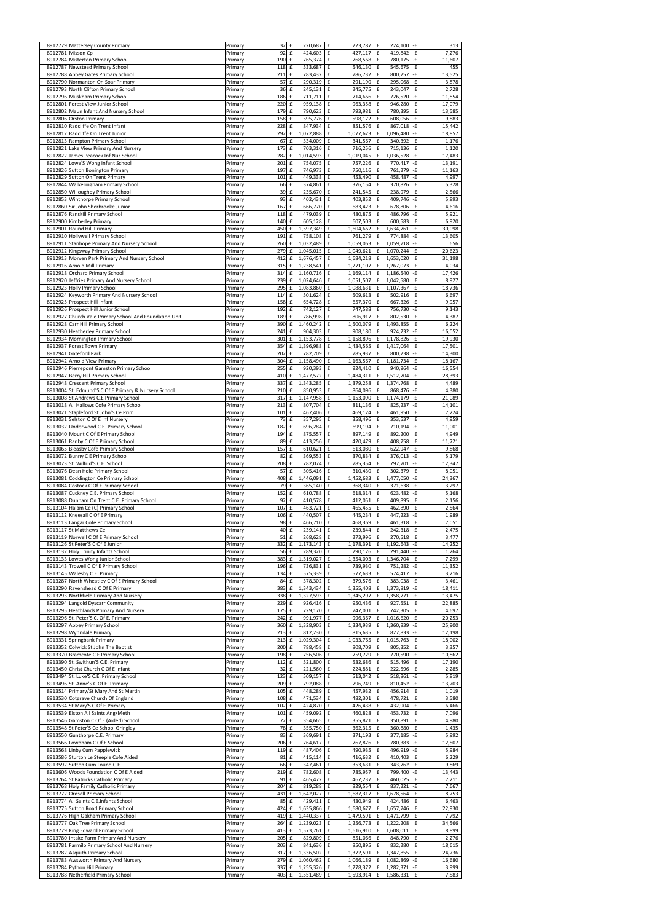| 8912779 Mattersey County Primary                                                  | Primary            | $32$ $E$          |                    | 220,687                | 223,787<br>£                                                     | 224,100<br>£                                                   | l-£<br>313                                         |
|-----------------------------------------------------------------------------------|--------------------|-------------------|--------------------|------------------------|------------------------------------------------------------------|----------------------------------------------------------------|----------------------------------------------------|
| 8912781 Misson Cp                                                                 | Primary            | 92 £              |                    | 424,603                | £<br>427,117                                                     | $\pmb{\mathsf{f}}$<br>419,842                                  | $\pmb{\mathsf{f}}$<br>7,276                        |
| 8912784 Misterton Primary School                                                  | Primary            | 190 £             |                    | 765,374                | $\pmb{\mathsf{f}}$<br>768,568                                    | $\pmb{\mathsf{f}}$<br>780.175                                  | -£<br>11,607                                       |
| 8912787 Newstead Primary School                                                   | Primary            | 118               | f                  | 533,687                | $\mathbf f$<br>546,130                                           | $\mathbf f$<br>545,675                                         | $\pmb{\mathsf{f}}$<br>455                          |
| 8912788 Abbey Gates Primary School                                                | Primary            | 211 f             |                    | 783,432                | 786,732<br>£                                                     | 800,257<br>£                                                   | -£<br>13,525                                       |
| 8912790 Normanton On Soar Primary                                                 | Primary            | 57                | $\pmb{\mathsf{f}}$ | 290,319                | $\pmb{\mathsf{f}}$<br>291,190                                    | $\mathbf f$<br>295,068                                         | -£<br>3,878                                        |
| 8912793 North Clifton Primary School                                              | Primary            | 36 £              |                    | 245,131                | £<br>245,775                                                     | $\pmb{\mathsf{f}}$<br>243,047                                  | £<br>2,728                                         |
| 8912796 Muskham Primary School<br>8912801 Forest View Junior School               | Primary<br>Primary | 186 £<br>220 £    |                    | 711,711<br>959,138     | $\pmb{\mathsf{f}}$<br>714,666<br>$\mathbf f$<br>963,358          | $\pmb{\mathsf{f}}$<br>726,520<br>$\pmb{\mathsf{f}}$<br>946,280 | -£<br>11,854<br>£<br>17,079                        |
| 8912802 Maun Infant And Nursery School                                            | Primary            | 179 £             |                    | 790,623                | $\pmb{\mathsf{f}}$<br>793,981                                    | $\pmb{\mathsf{f}}$<br>780,395                                  | $\pmb{\mathsf{f}}$<br>13,585                       |
| 8912806 Orston Primary                                                            | Primary            | 158               | f                  | 595,776                | $\pmb{\mathsf{f}}$<br>598,172                                    | $\pmb{\mathsf{f}}$<br>608,056                                  | $-F$<br>9,883                                      |
| 8912810 Radcliffe On Trent Infant                                                 | Primary            | 228 £             |                    | 847,934                | £<br>851,576                                                     | $\mathbf f$<br>867,018                                         | l-£<br>15,442                                      |
| 8912812 Radcliffe On Trent Junior                                                 | Primary            | 292               | $\pmb{\mathsf{f}}$ | 1,072,888              | $\pmb{\mathsf{f}}$<br>1,077,623                                  | $\mathbf f$<br>1,096,480                                       | -£<br>18,857                                       |
| 8912813 Rampton Primary School                                                    | Primary            | 67 £              |                    | 334,009                | £<br>341,567                                                     | $\pmb{\mathsf{f}}$<br>340,392                                  | $\pounds$<br>1,176                                 |
| 8912821 Lake View Primary And Nursery                                             | Primary            | 173               | f                  | 703,316                | $\pmb{\mathsf{f}}$<br>716,256                                    | $\pmb{\mathsf{f}}$<br>715,136                                  | $\pmb{\mathsf{f}}$<br>1,120                        |
| 8912822 James Peacock Inf Nur School                                              | Primary            | 282               | $\pmb{\mathsf{f}}$ | 1,014,593              | $\pmb{\mathsf{f}}$<br>1,019,045                                  | $\mathbf f$<br>1,036,528                                       | -£<br>17,483                                       |
| 8912824 Lowe'S Wong Infant School                                                 | Primary            | $201 \text{ f}$   |                    | 754,075                | 757,226<br>£                                                     | 770,417<br>£                                                   | -£<br>13,191                                       |
| 8912826 Sutton Bonington Primary                                                  | Primary            | 197 £             |                    | 746,973                | 750,116<br>£                                                     | $\mathbf f$<br>761,279                                         | -£<br>11,163                                       |
| 8912829 Sutton On Trent Primary                                                   | Primary            | 101 £             |                    | 449,338                | 453,490<br>£                                                     | $\mathbf f$<br>458,487                                         | -£<br>4,997                                        |
| 8912844 Walkeringham Primary School                                               | Primary            | 66 £              |                    | 374,861                | $\pmb{\mathsf{f}}$<br>376,154                                    | $\pmb{\mathsf{f}}$<br>370,826                                  | $\pmb{\mathsf{f}}$<br>5,328                        |
| 8912850 Willoughby Primary School                                                 | Primary            | 39                | $\pmb{\mathsf{f}}$ | 235,670                | $\pmb{\mathsf{f}}$<br>241,545                                    | 238,979<br>£                                                   | $\pmb{\mathsf{f}}$<br>2,566                        |
| 8912853 Winthorpe Primary School                                                  | Primary            | 93 £              |                    | 402,431                | $\pmb{\mathsf{f}}$<br>403,852                                    | $\pmb{\mathsf{f}}$<br>409,746                                  | -£<br>5,893                                        |
| 8912860 Sir John Sherbrooke Junior                                                | Primary            | 167<br>118 f      | $\pmb{\mathsf{f}}$ | 666,770                | $\pmb{\mathsf{f}}$<br>683,423<br>480,875<br>£                    | $\pmb{\mathsf{f}}$<br>678,806<br>486,796<br>$\mathbf{f}$       | $\pmb{\mathsf{f}}$<br>4,616<br>-£                  |
| 8912876 Ranskill Primary School<br>8912900 Kimberley Primary                      | Primary<br>Primary | 140               | $\pmb{\mathsf{f}}$ | 479,039<br>605,128     | $\pmb{\mathsf{f}}$<br>607,503                                    | $\pmb{\mathsf{f}}$<br>600,583                                  | 5,921<br>$\pmb{\mathsf{f}}$<br>6,920               |
| 8912901 Round Hill Primary                                                        | Primary            | 450 £             |                    | 1,597,349              | £<br>1,604,662                                                   | 1,634,761<br>£                                                 | -£<br>30,098                                       |
| 8912910 Hollywell Primary School                                                  | Primary            | 191               | l £                | 758,108                | £<br>761,279                                                     | ${\bf f}$<br>774,884                                           | -£<br>13,605                                       |
| 8912911 Stanhope Primary And Nursery School                                       | Primary            | 260               | $\pmb{\mathsf{f}}$ | 1,032,489              | $\mathbf f$<br>1,059,063                                         | £<br>1,059,718                                                 | -£<br>656                                          |
| 8912912 Kingsway Primary School                                                   | Primary            | 279               | $\mathbf f$        | 1,045,015              | $\pmb{\mathsf{f}}$<br>1,049,621                                  | £<br>1,070,244                                                 | 20,623<br>-£                                       |
| 8912913 Morven Park Primary And Nursery School                                    | Primary            | 412               | £                  | 1,676,457              | $\pmb{\mathsf{f}}$<br>1,684,218                                  | 1,653,020<br>£                                                 | $\pmb{\mathsf{f}}$<br>31,198                       |
| 8912916 Arnold Mill Primary                                                       | Primary            | $315 \text{ f}$   |                    | 1,238,541              | 1,271,107<br>£                                                   | 1,267,073<br>£                                                 | £<br>4,034                                         |
| 8912918 Orchard Primary School                                                    | Primary            | 314 £             |                    | 1,160,716              | $\pmb{\mathsf{f}}$<br>1,169,114                                  | £<br>1,186,540                                                 | -£<br>17,426                                       |
| 8912920 Jeffries Primary And Nursery School                                       | Primary            | 239 £             |                    | 1,024,646              | £<br>1,051,507                                                   | ${\bf f}$<br>1,042,580                                         | £<br>8,927                                         |
| 8912923 Holly Primary School                                                      | Primary            | 295               | $\mathbf f$        | 1,083,860              | $\pmb{\mathsf{f}}$<br>1,088,631                                  | £<br>1,107,367                                                 | -£<br>18,736                                       |
| 8912924 Keyworth Primary And Nursery School                                       | Primary            | 114               | $\pmb{\mathsf{f}}$ | 501,624                | £<br>509,613                                                     | £<br>502,916                                                   | $\pmb{\mathsf{f}}$<br>6,697                        |
| 8912925 Prospect Hill Infant                                                      | Primary            | 158 £             |                    | 654,728                | £<br>657,370                                                     | $\pmb{\mathsf{f}}$<br>667,326                                  | l-£<br>9,957                                       |
| 8912926 Prospect Hill Junior School                                               | Primary            | 192               | $\pounds$          | 742,127                | 747,588<br>£                                                     | $\mathbf f$<br>756,730                                         | -£<br>9,143                                        |
| 8912927 Church Vale Primary School And Foundation Unit                            | Primary            | 189 £             |                    | 786,998                | £<br>806,917                                                     | $\pmb{\mathsf{f}}$<br>802,530                                  | £<br>4,387                                         |
| 8912928 Carr Hill Primary School                                                  | Primary<br>Primary | 390 £<br>241      | £                  | 1,460,242<br>904,303   | $\pmb{\mathsf{f}}$<br>1,500,079<br>£<br>908,180                  | $\mathbf f$<br>1,493,855<br>$\pmb{\mathsf{f}}$<br>924,232      | $\pmb{\mathsf{f}}$<br>6,224<br>-£<br>16,052        |
| 8912930 Heatherley Primary School<br>8912934 Mornington Primary School            | Primary            | 301 £             |                    | 1,153,778              | $\pmb{\mathsf{f}}$<br>1,158,896                                  | $\pmb{\mathsf{f}}$<br>1,178,826                                | -£<br>19,930                                       |
| 8912937 Forest Town Primary                                                       | Primary            | 354               | $\pmb{\mathsf{f}}$ | 1,396,988              | $\pmb{\mathsf{f}}$<br>1,434,565                                  | $\mathbf f$<br>1,417,064                                       | $\pmb{\mathsf{f}}$<br>17,501                       |
| 8912941 Gateford Park                                                             | Primary            | $202 \text{ f}$   |                    | 782,709                | 785,937<br>£                                                     | 800,238<br>£                                                   | -£<br>14,300                                       |
| 8912942 Arnold View Primary                                                       | Primary            | 304 £             |                    | 1,158,490              | $\pmb{\mathsf{f}}$<br>1,163,567                                  | $f_{\rm c}$<br>1,181,734                                       | -£<br>18,167                                       |
| 8912946 Pierrepont Gamston Primary School                                         | Primary            | 255 £             |                    | 920,393                | $\mathbf f$<br>924,410                                           | $\pmb{\mathsf{f}}$<br>940,964                                  | -£<br>16,554                                       |
| 8912947 Berry Hill Primary School                                                 | Primary            | 410 £             |                    | 1,477,572              | $\pmb{\mathsf{f}}$<br>1,484,311                                  | $\mathbf f$<br>1,512,704                                       | -£<br>28,393                                       |
| 8912948 Crescent Primary School                                                   | Primary            | 337 £             |                    | 1,343,285 £            | 1,379,258 £                                                      | 1,374,768 £                                                    | 4,489                                              |
| 8913004 St. Edmund'S C Of E Primary & Nursery School                              | Primary            | 210 £             |                    | 850,953                | $\pmb{\mathsf{f}}$<br>864,096                                    | $\mathbf f$<br>868,476                                         | $-E$<br>4,380                                      |
| 8913008 St.Andrews C.E Primary School                                             | Primary            | 317 £             |                    | 1,147,958              | $\pmb{\mathsf{f}}$<br>1,153,090                                  | 1,174,179<br>£                                                 | $-F$<br>21,089                                     |
| 8913018 All Hallows Cofe Primary School                                           | Primary            | $213 \t f$        |                    | 807,704                | $\pmb{\mathsf{f}}$<br>811,136                                    | $\mathbf f$<br>825,237                                         | $-E$<br>14,101                                     |
| 8913021 Stapleford St John'S Ce Prim                                              | Primary            | 101 £             |                    | 467,406                | $\pmb{\mathsf{f}}$<br>469,174                                    | $\mathbf f$<br>461,950                                         | $\pmb{\mathsf{f}}$<br>7,224                        |
| 8913031 Selston C Of E Inf Nursery                                                | Primary            | 73 £              |                    | 357,295                | 358,496<br>£                                                     | $\mathbf f$<br>353,537                                         | $\pmb{\mathsf{f}}$<br>4,959                        |
| 8913032 Underwood C.E. Primary School                                             | Primary            | 182 £             |                    | 696,284                | $\mathbf f$<br>699,194                                           | ${\bf f}$<br>710,194                                           | -£<br>11,001                                       |
| 8913040 Mount C Of E Primary School<br>8913061 Ranby C Of E Primary School        | Primary            | 194<br>89 £       | $\pmb{\mathsf{f}}$ | 875,557<br>413,256     | $\mathbf f$<br>897,149<br>420,479                                | $\mathbf f$<br>892,200<br>$\pmb{\mathsf{f}}$<br>408,758        | $\mathbf f$<br>4,949<br>$\pounds$                  |
| 8913065 Bleasby Cofe Primary School                                               | Primary<br>Primary | $157 \mathrm{E}$  |                    | 610,621                | £<br>$\pmb{\mathsf{f}}$<br>613,080                               | 622,947<br>f                                                   | 11,721<br>-£<br>9,868                              |
| 8913072 Bunny C E Primary School                                                  | Primary            | 82 £              |                    | 369,553                | £<br>370,834                                                     | $\mathbf f$<br>376,013                                         | l-£<br>5,179                                       |
| 8913073 St. Wilfrid'S C.E. School                                                 | Primary            | 208 £             |                    | 782,074                | $\pmb{\mathsf{f}}$<br>785,354                                    | $\pmb{\mathsf{f}}$<br>797,701                                  | -£<br>12,347                                       |
|                                                                                   |                    |                   |                    |                        |                                                                  |                                                                | $\pmb{\mathsf{f}}$                                 |
| 8913076 Dean Hole Primary School                                                  |                    |                   |                    | 305,416                |                                                                  | $\pmb{\mathsf{f}}$                                             |                                                    |
| 8913081 Coddington Ce Primary School                                              | Primary<br>Primary | 57 £<br>408 £     |                    | 1,446,091              | $\pmb{\mathsf{f}}$<br>310,430<br>$\pmb{\mathsf{f}}$<br>1,452,683 | 302,379<br>$\mathbf f$<br>1,477,050                            | 8,051<br>-£<br>24,367                              |
| 8913084 Costock C Of E Primary School                                             | Primary            | 79                | $\pmb{\mathsf{f}}$ | 365,140                | $\pmb{\mathsf{f}}$<br>368,340                                    | $\mathbf f$<br>371,638                                         | -£<br>3,297                                        |
| 8913087 Cuckney C.E. Primary School                                               | Primary            | 152 £             |                    | 610,788                | 618,314<br>£                                                     | $\mathbf f$<br>623,482                                         | -£<br>5,168                                        |
| 8913088 Dunham On Trent C.E. Primary School                                       | Primary            | $92$ $E$          |                    | 410,578                | $\pmb{\mathsf{f}}$<br>412,051                                    | $\pmb{\mathsf{f}}$<br>409,895                                  | $\pmb{\mathsf{f}}$<br>2,156                        |
| 8913104 Halam Ce (C) Primary School                                               | Primary            | 107 £             |                    | 463,721                | 465,455<br>£                                                     | $\mathbf f$<br>462,890                                         | $\pmb{\mathsf{f}}$<br>2,564                        |
| 8913112 Kneesall C Of E Primary                                                   | Primary            | 106 £             |                    | 440,507                | $\pmb{\mathsf{f}}$<br>445,234                                    | $\mathbf f$<br>447,223                                         | -£<br>1,989                                        |
| 8913113 Langar Cofe Primary School                                                | Primary            | 98 £              |                    | 466,710                | $\pmb{\mathsf{f}}$<br>468,369                                    | $\mathbf f$<br>461,318                                         | $\pmb{\mathsf{f}}$<br>7,051                        |
| 8913117 St Matthews Ce                                                            | Primary            | 40 £              |                    | 239,141                | $\pmb{\mathsf{f}}$<br>239,844                                    | $\pmb{\mathsf{f}}$<br>242,318                                  | $-F$<br>2,475                                      |
| 8913119 Norwell C Of E Primary School                                             | Primary            | 51                | $\pmb{\mathsf{f}}$ | 268,628                | $\pmb{\mathsf{f}}$<br>273,996                                    | $\mathbf f$<br>270,518 £                                       | 3,477                                              |
| 8913126 St Peter'S C Of E Junior                                                  | Primary            | 332 £             |                    | 1,173,143              | $\pmb{\mathsf{f}}$<br>1,178,391                                  | 1,192,643 - £<br>$\mathbf f$                                   | 14,252                                             |
| 8913132 Holy Trinity Infants School                                               | Primary            | 56 £              |                    | 289,320                | $\pmb{\mathsf{f}}$<br>290,176                                    | $\pmb{\mathsf{f}}$<br>291,440                                  | $-F$<br>1,264                                      |
| 8913133 Lowes Wong Junior School                                                  | Primary            | 383               | $\pmb{\mathsf{f}}$ | 1,319,027              | $\pmb{\mathsf{f}}$<br>1,354,003                                  | £<br>1,346,704                                                 | $\pmb{\mathsf{f}}$<br>7,299                        |
| 8913143 Trowell C Of E Primary School                                             | Primary            | 196 £<br>134      | $\pmb{\mathsf{f}}$ | 736,831                | $\pmb{\mathsf{f}}$<br>739,930<br>$\pmb{\mathsf{f}}$              | $\pmb{\mathsf{f}}$<br>751,282<br>$\pmb{\mathsf{f}}$<br>574,417 | -£<br>11,352<br>$\pmb{\mathsf{f}}$<br>3,216        |
| 8913145 Walesby C.E. Primary                                                      | Primary<br>Primary | 84 £              |                    | 575,339<br>378,302     | 577,633<br>379,576<br>£                                          | $\mathbf f$<br>383,038                                         | -£<br>3,461                                        |
| 8913287 North Wheatley C Of E Primary School<br>8913290 Ravenshead C Of E Primary | Primary            | 383               | $\pounds$          | 1,343,434              | $\pmb{\mathsf{f}}$<br>1,355,408                                  | $\mathbf f$<br>1,373,819                                       | -£<br>18,411                                       |
| 8913293 Northfield Primary And Nursery                                            | Primary            | 338 £             |                    | 1,327,593              | £<br>1,345,297                                                   | £<br>1,358,771                                                 | -£<br>13,475                                       |
| 8913294 Langold Dyscarr Community                                                 | Primary            | 229 £             |                    | 926,416                | £<br>950,436                                                     | $\pmb{\mathsf{f}}$<br>927,551                                  | $\pmb{\mathsf{f}}$<br>22,885                       |
| 8913295 Heathlands Primary And Nursery                                            | Primary            | 175 £             |                    | 729,170                | $\pmb{\mathsf{f}}$<br>747,001                                    | $\pmb{\mathsf{f}}$<br>742,305                                  | $\pmb{\mathsf{f}}$<br>4,697                        |
| 8913296 St. Peter'S C. Of E. Primary                                              | Primary            | 242 £             |                    | 991,977                | $\pmb{\mathsf{f}}$<br>996,367                                    | $\pmb{\mathsf{f}}$<br>1,016,620                                | -£<br>20,253                                       |
| 8913297 Abbey Primary School                                                      | Primary            | 360 £             |                    | 1,328,903              | $\pmb{\mathsf{f}}$<br>1,334,939                                  | $\mathbf f$<br>1,360,839                                       | -£<br>25,900                                       |
| 8913298 Wynndale Primary                                                          | Primary            | $213 \text{ f}$   |                    | 812,230                | $\pmb{\mathsf{f}}$<br>815,635                                    | $\pmb{\mathsf{f}}$<br>827,833                                  | $-F$<br>12,198                                     |
| 8913331 Springbank Primary                                                        | Primary            | $213 \text{ f}$   |                    | 1,029,304              | $\pmb{\mathsf{f}}$<br>1,033,765                                  | $\mathbf f$<br>1,015,763                                       | $\pmb{\mathsf{f}}$<br>18,002                       |
| 8913352 Colwick St.John The Baptist                                               | Primary            | 200 £             |                    | 788,458                | £<br>808,709                                                     | $\pmb{\mathsf{f}}$<br>805,352                                  | £<br>3,357                                         |
| 8913370 Bramcote C E Primary School                                               | Primary            | 198 £             |                    | 756,506                | $\pmb{\mathsf{f}}$<br>759,729                                    | $\pmb{\mathsf{f}}$<br>770,590                                  | -£<br>10,862                                       |
| 8913390 St. Swithun'S C.E. Primary                                                | Primary<br>Primary | 112<br>32 £       | $\pmb{\mathsf{f}}$ | 521,800                | $\pmb{\mathsf{f}}$<br>532,686<br>$\pmb{\mathsf{f}}$              | $\mathbf f$<br>515,496<br>$\pmb{\mathsf{f}}$                   | $\pmb{\mathsf{f}}$<br>17,190<br>$\pmb{\mathsf{f}}$ |
| 8913450 Christ Church C Of E Infant<br>8913494 St. Luke'S C.E. Primary School     | Primary            | 123 £             |                    | 221,560<br>509,157     | 224,881<br>$\pmb{\mathsf{f}}$<br>513,042                         | 222,596<br>$\mathbf f$<br>518,861                              | 2,285<br>$-F$<br>5,819                             |
| 8913496 St. Anne'S C.Of E. Primary                                                | Primary            | 209 £             |                    | 792,088                | £<br>796,749                                                     | $\pmb{\mathsf{f}}$<br>810,452                                  | -£<br>13,703                                       |
| 8913514 Primary/St Mary And St Martin                                             | Primary            | $105 \tE$         |                    | 448,289                | $\pmb{\mathsf{f}}$<br>457,932                                    | $\pmb{\mathsf{f}}$<br>456,914                                  | $\pmb{\mathsf{f}}$<br>1,019                        |
| 8913530 Cotgrave Church Of England                                                | Primary            | 108 £             |                    | 471,534                | 482,301<br>£                                                     | $\pmb{\mathsf{f}}$<br>478,721                                  | $\pmb{\mathsf{f}}$<br>3,580                        |
| 8913534 St.Mary'S C.Of E.Primary                                                  | Primary            | 102 £             |                    | 424,870                | $\pmb{\mathsf{f}}$<br>426,438                                    | $\pmb{\mathsf{f}}$<br>432,904                                  | -£<br>6,466                                        |
| 8913539 Elston All Saints Ang/Meth                                                | Primary            | $101$ $f$         |                    | 459,092                | 460,828<br>£                                                     | $\pmb{\mathsf{f}}$<br>453,732                                  | $\mathbf f$<br>7,096                               |
| 8913546 Gamston C Of E (Aided) School                                             | Primary            | 72 £              |                    | 354,665                | $\pmb{\mathsf{f}}$<br>355,871                                    | f<br>350,891                                                   | $\pmb{\mathsf{f}}$<br>4,980                        |
| 8913548 St Peter'S Ce School Gringley                                             | Primary            | 78 £              |                    | 355,750                | $\pmb{\mathsf{f}}$<br>362,315                                    | $\pmb{\mathsf{f}}$<br>360,880                                  | $\pmb{\mathsf{f}}$<br>1,435                        |
| 8913550 Gunthorpe C.E. Primary                                                    | Primary            | 83 £              |                    | 369,691 £              | 371,193 E                                                        | 377,185 - £                                                    | 5,992                                              |
| 8913566 Lowdham C Of E School                                                     | Primary            | 206 £             |                    | 764,617 £              | 767,876                                                          | $\,$ f<br>780,383                                              | $-F$<br>12,507                                     |
| 8913568 Linby Cum Papplewick                                                      | Primary            | 119 £             |                    | 487,406                | £<br>490,935                                                     | £<br>496,919 - £                                               | 5,984                                              |
| 8913586 Sturton Le Steeple Cofe Aided                                             | Primary            | 81 £              |                    | 415,114                | Ι£<br>416,632                                                    | f<br>410,403                                                   | £<br>6,229                                         |
| 8913592 Sutton Cum Lound C.E.                                                     | Primary            | 66 £              |                    | 347,461                | l £<br>353,631                                                   | 343,762 £<br>f                                                 | 9,869                                              |
| 8913606 Woods Foundation C Of E Aided<br>8913764 St Patricks Catholic Primary     | Primary            | $219$ $E$<br>91 £ |                    | 782,608<br>465,472     | $\mathbf f$<br>785,957<br>Ι£                                     | 799,400 -£<br>f<br>£<br>460,025 £                              | 13,443                                             |
| 8913768 Holy Family Catholic Primary                                              | Primary<br>Primary | 204 £             |                    | 819,288                | 467,237<br>£<br>829,554                                          | £<br>837,221                                                   | 7,211<br>-£<br>7,667                               |
| 8913772 Ordsall Primary School                                                    | Primary            | 431 £             |                    | 1,642,027              | £<br>1,687,317                                                   | £<br>1,678,564                                                 | $\pmb{\mathsf{f}}$<br>8,753                        |
| 8913774 All Saints C.E. Infants School                                            | Primary            | 85 £              |                    | 429,411                | $\mathbf f$<br>430,949                                           | £<br>424,486 £                                                 | 6,463                                              |
| 8913775 Sutton Road Primary School                                                | Primary            | 424 £             |                    | 1,635,866              | 1,680,677<br>Ι£                                                  | £<br>1,657,746 £                                               | 22,930                                             |
| 8913776 High Oakham Primary School                                                | Primary            | 419 £             |                    | 1,440,337              | 1,479,591<br>$\mathbf f$                                         | 1,471,799 £<br>£                                               | 7,792                                              |
| 8913777 Oak Tree Primary School                                                   | Primary            | 264 £             |                    | 1,239,023              | £<br>1,256,773                                                   | $1,222,208$ $E$<br>£                                           | 34,566                                             |
| 8913779 King Edward Primary School                                                | Primary            | 413 £             |                    | 1,573,761              | £<br>1,616,910                                                   | £<br>1,608,011                                                 | l £<br>8,899                                       |
| 8913780 Intake Farm Primary And Nursery                                           | Primary            | $205 \text{ f}$   |                    | 829,809                | £<br>851,066                                                     | £<br>848,790                                                   | £<br>2,276                                         |
| 8913781 Farmilo Primary School And Nursery                                        | Primary            | $203 \text{ f}$   |                    | 841,636                | $\mathbf f$<br>850,895                                           | £<br>832,280                                                   | £<br>18,615                                        |
| 8913782 Asquith Primary School                                                    | Primary            | 317 £             |                    | 1,336,502              | 1,372,591<br>Ι£                                                  | 1,347,855 £<br>£                                               | 24,736                                             |
| 8913783 Awsworth Primary And Nursery<br>8913784 Python Hill Primary               | Primary<br>Primary | 279 £<br>337 £    |                    | 1,060,462<br>1,255,326 | 1,066,189<br>Ι£<br>Ι£<br>1,278,372                               | 1,082,869 -f<br>£<br>£<br>1,282,371                            | 16,680<br>l-£<br>3,999                             |